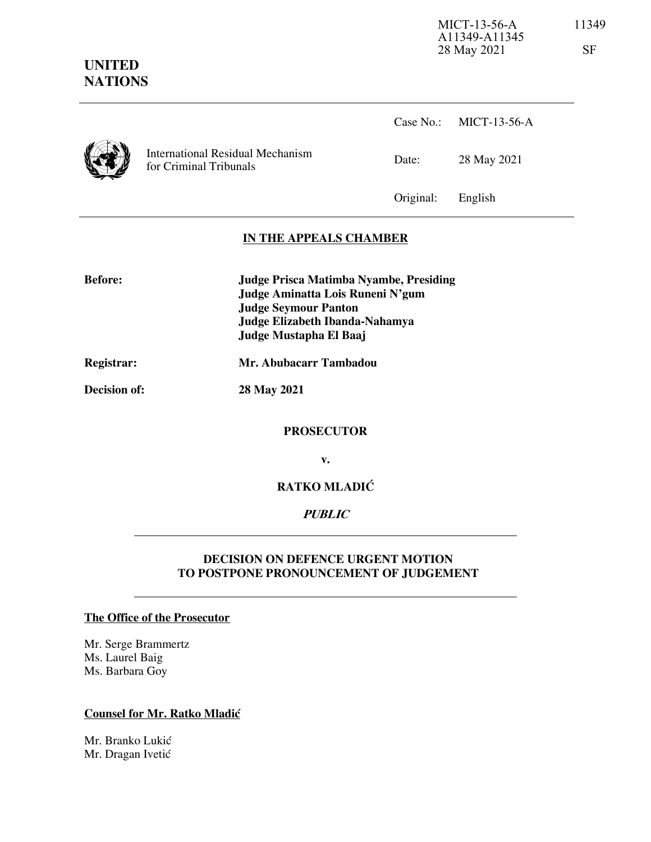# **UNITED NATIONS**

International Residual Mechanism for Criminal Tribunals Case No.: MICT-13-56-A Date: 28 May 2021 Original: English **IN THE APPEALS CHAMBER** 

**Before: Judge Prisca Matimba Nyambe, Presiding Judge Aminatta Lois Runeni N'gum Judge Seymour Panton Judge Elizabeth Ibanda-Nahamya Judge Mustapha El Baaj** 

#### **Registrar: Mr. Abubacarr Tambadou**

**Decision of: 28 May 2021**

#### **PROSECUTOR**

**v.** 

### **RATKO MLADIĆ**

#### **PUBLIC**

#### **DECISION ON DEFENCE URGENT MOTION TO POSTPONE PRONOUNCEMENT OF JUDGEMENT**

#### **The Office of the Prosecutor**

Mr. Serge Brammertz Ms. Laurel Baig Ms. Barbara Goy

#### **Counsel for Mr. Ratko Mladić**

Mr. Branko Lukić Mr. Dragan Ivetić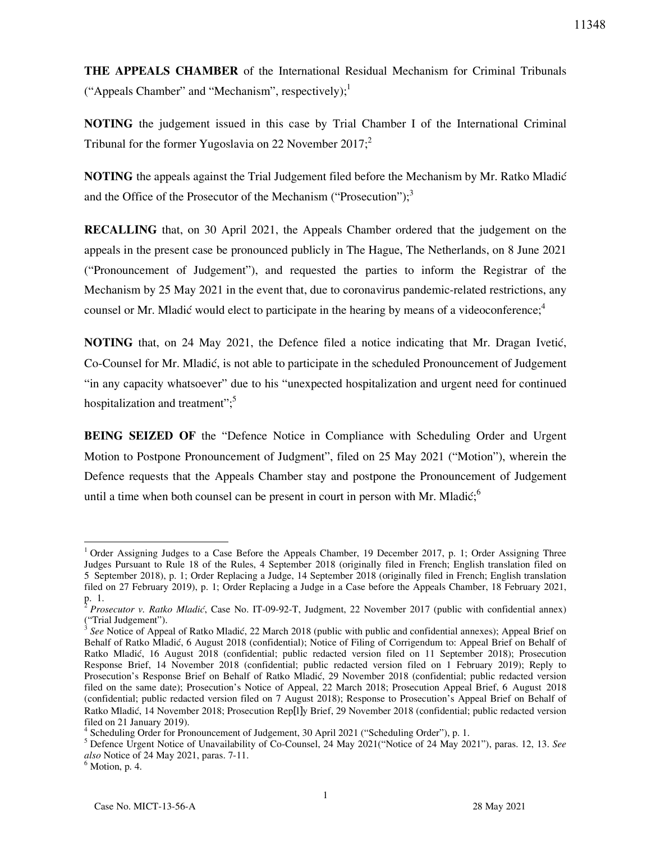**THE APPEALS CHAMBER** of the International Residual Mechanism for Criminal Tribunals ("Appeals Chamber" and "Mechanism", respectively); $<sup>1</sup>$ </sup>

**NOTING** the judgement issued in this case by Trial Chamber I of the International Criminal Tribunal for the former Yugoslavia on 22 November 2017; $2$ 

**NOTING** the appeals against the Trial Judgement filed before the Mechanism by Mr. Ratko Mladić and the Office of the Prosecutor of the Mechanism ("Prosecution"); $\frac{3}{2}$ 

**RECALLING** that, on 30 April 2021, the Appeals Chamber ordered that the judgement on the appeals in the present case be pronounced publicly in The Hague, The Netherlands, on 8 June 2021 ("Pronouncement of Judgement"), and requested the parties to inform the Registrar of the Mechanism by 25 May 2021 in the event that, due to coronavirus pandemic-related restrictions, any counsel or Mr. Mladić would elect to participate in the hearing by means of a videoconference;<sup>4</sup>

**NOTING** that, on 24 May 2021, the Defence filed a notice indicating that Mr. Dragan Ivetić, Co-Counsel for Mr. Mladić, is not able to participate in the scheduled Pronouncement of Judgement "in any capacity whatsoever" due to his "unexpected hospitalization and urgent need for continued hospitalization and treatment";<sup>5</sup>

**BEING SEIZED OF** the "Defence Notice in Compliance with Scheduling Order and Urgent Motion to Postpone Pronouncement of Judgment", filed on 25 May 2021 ("Motion"), wherein the Defence requests that the Appeals Chamber stay and postpone the Pronouncement of Judgement until a time when both counsel can be present in court in person with Mr. Mladić; $\delta$ 

 $\overline{a}$ 

<sup>&</sup>lt;sup>1</sup> Order Assigning Judges to a Case Before the Appeals Chamber, 19 December 2017, p. 1; Order Assigning Three Judges Pursuant to Rule 18 of the Rules, 4 September 2018 (originally filed in French; English translation filed on 5 September 2018), p. 1; Order Replacing a Judge, 14 September 2018 (originally filed in French; English translation filed on 27 February 2019), p. 1; Order Replacing a Judge in a Case before the Appeals Chamber, 18 February 2021,

p. 1.<br><sup>2</sup> Prosecutor v. Ratko Mladić, Case No. IT-09-92-T, Judgment, 22 November 2017 (public with confidential annex) ("Trial Judgement").<br> $3 \text{ Sea Notice of } \Lambda$ 

*See* Notice of Appeal of Ratko Mladić, 22 March 2018 (public with public and confidential annexes); Appeal Brief on Behalf of Ratko Mladić, 6 August 2018 (confidential); Notice of Filing of Corrigendum to: Appeal Brief on Behalf of Ratko Mladić, 16 August 2018 (confidential; public redacted version filed on 11 September 2018); Prosecution Response Brief, 14 November 2018 (confidential; public redacted version filed on 1 February 2019); Reply to Prosecution's Response Brief on Behalf of Ratko Mladić, 29 November 2018 (confidential; public redacted version filed on the same date); Prosecution's Notice of Appeal, 22 March 2018; Prosecution Appeal Brief, 6 August 2018 (confidential; public redacted version filed on 7 August 2018); Response to Prosecution's Appeal Brief on Behalf of Ratko Mladić, 14 November 2018; Prosecution Rep[l]y Brief, 29 November 2018 (confidential; public redacted version filed on 21 January 2019).

<sup>&</sup>lt;sup>4</sup> Scheduling Order for Pronouncement of Judgement, 30 April 2021 ("Scheduling Order"), p. 1.

<sup>5</sup> Defence Urgent Notice of Unavailability of Co-Counsel, 24 May 2021("Notice of 24 May 2021"), paras. 12, 13. *See also* Notice of 24 May 2021, paras. 7-11.

 $<sup>6</sup>$  Motion, p. 4.</sup>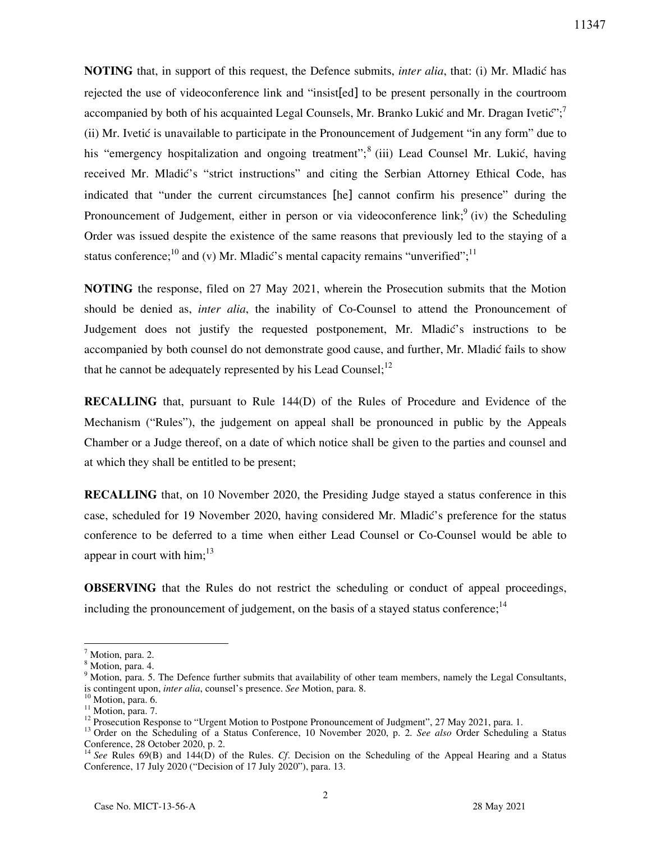**NOTING** that, in support of this request, the Defence submits, *inter alia*, that: (i) Mr. Mladić has rejected the use of videoconference link and "insist[ed] to be present personally in the courtroom accompanied by both of his acquainted Legal Counsels, Mr. Branko Lukić and Mr. Dragan Ivetić";<sup>7</sup> (ii) Mr. Ivetić is unavailable to participate in the Pronouncement of Judgement "in any form" due to his "emergency hospitalization and ongoing treatment";<sup>8</sup> (iii) Lead Counsel Mr. Lukić, having received Mr. Mladić's "strict instructions" and citing the Serbian Attorney Ethical Code, has indicated that "under the current circumstances [he] cannot confirm his presence" during the Pronouncement of Judgement, either in person or via videoconference link;<sup>9</sup> (iv) the Scheduling Order was issued despite the existence of the same reasons that previously led to the staying of a status conference;<sup>10</sup> and (v) Mr. Mladić's mental capacity remains "unverified";<sup>11</sup>

**NOTING** the response, filed on 27 May 2021, wherein the Prosecution submits that the Motion should be denied as, *inter alia*, the inability of Co-Counsel to attend the Pronouncement of Judgement does not justify the requested postponement, Mr. Mladić's instructions to be accompanied by both counsel do not demonstrate good cause, and further, Mr. Mladić fails to show that he cannot be adequately represented by his Lead Counsel;<sup>12</sup>

**RECALLING** that, pursuant to Rule 144(D) of the Rules of Procedure and Evidence of the Mechanism ("Rules"), the judgement on appeal shall be pronounced in public by the Appeals Chamber or a Judge thereof, on a date of which notice shall be given to the parties and counsel and at which they shall be entitled to be present;

**RECALLING** that, on 10 November 2020, the Presiding Judge stayed a status conference in this case, scheduled for 19 November 2020, having considered Mr. Mladić's preference for the status conference to be deferred to a time when either Lead Counsel or Co-Counsel would be able to appear in court with  $\text{him};^{13}$ 

**OBSERVING** that the Rules do not restrict the scheduling or conduct of appeal proceedings, including the pronouncement of judgement, on the basis of a stayed status conference: $14$ 

 $\overline{a}$ 

11347

<sup>&</sup>lt;sup>7</sup> Motion, para. 2.

<sup>8</sup> Motion, para. 4.

<sup>&</sup>lt;sup>9</sup> Motion, para. 5. The Defence further submits that availability of other team members, namely the Legal Consultants, is contingent upon, *inter alia*, counsel's presence. *See* Motion, para. 8.

<sup>&</sup>lt;sup>10</sup> Motion, para. 6.

<sup>&</sup>lt;sup>11</sup> Motion, para. 7.

<sup>&</sup>lt;sup>12</sup> Prosecution Response to "Urgent Motion to Postpone Pronouncement of Judgment", 27 May 2021, para. 1.

<sup>13</sup> Order on the Scheduling of a Status Conference, 10 November 2020, p. 2. *See also* Order Scheduling a Status Conference, 28 October 2020, p. 2.

<sup>&</sup>lt;sup>14</sup> See Rules 69(B) and 144(D) of the Rules. *Cf.* Decision on the Scheduling of the Appeal Hearing and a Status Conference, 17 July 2020 ("Decision of 17 July 2020"), para. 13.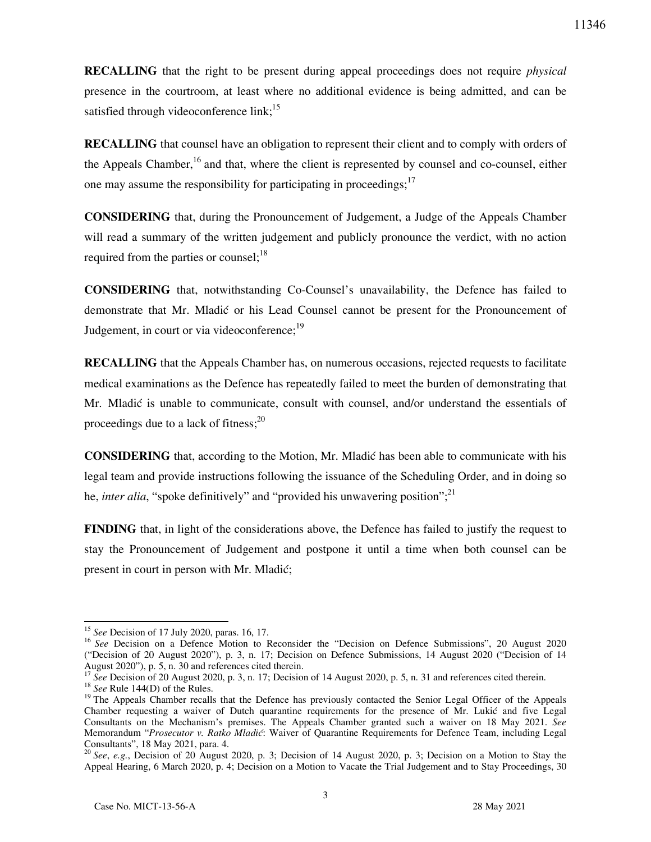**RECALLING** that the right to be present during appeal proceedings does not require *physical*  presence in the courtroom, at least where no additional evidence is being admitted, and can be satisfied through videoconference link;<sup>15</sup>

**RECALLING** that counsel have an obligation to represent their client and to comply with orders of the Appeals Chamber,  $16$  and that, where the client is represented by counsel and co-counsel, either one may assume the responsibility for participating in proceedings;<sup>17</sup>

**CONSIDERING** that, during the Pronouncement of Judgement, a Judge of the Appeals Chamber will read a summary of the written judgement and publicly pronounce the verdict, with no action required from the parties or counsel;  $18$ 

**CONSIDERING** that, notwithstanding Co-Counsel's unavailability, the Defence has failed to demonstrate that Mr. Mladić or his Lead Counsel cannot be present for the Pronouncement of Judgement, in court or via videoconference; $^{19}$ 

**RECALLING** that the Appeals Chamber has, on numerous occasions, rejected requests to facilitate medical examinations as the Defence has repeatedly failed to meet the burden of demonstrating that Mr. Mladić is unable to communicate, consult with counsel, and/or understand the essentials of proceedings due to a lack of fitness; $^{20}$ 

**CONSIDERING** that, according to the Motion, Mr. Mladić has been able to communicate with his legal team and provide instructions following the issuance of the Scheduling Order, and in doing so he, *inter alia*, "spoke definitively" and "provided his unwavering position";<sup>21</sup>

**FINDING** that, in light of the considerations above, the Defence has failed to justify the request to stay the Pronouncement of Judgement and postpone it until a time when both counsel can be present in court in person with Mr. Mladić;

 $\overline{a}$ <sup>15</sup> *See* Decision of 17 July 2020, paras. 16, 17.

<sup>&</sup>lt;sup>16</sup> See Decision on a Defence Motion to Reconsider the "Decision on Defence Submissions", 20 August 2020 ("Decision of 20 August 2020"), p. 3, n. 17; Decision on Defence Submissions, 14 August 2020 ("Decision of 14 August 2020"), p. 5, n. 30 and references cited therein.

See Decision of 20 August 2020, p. 3, n. 17; Decision of 14 August 2020, p. 5, n. 31 and references cited therein. <sup>18</sup> *See* Rule 144(D) of the Rules.

<sup>&</sup>lt;sup>19</sup> The Appeals Chamber recalls that the Defence has previously contacted the Senior Legal Officer of the Appeals Chamber requesting a waiver of Dutch quarantine requirements for the presence of Mr. Lukić and five Legal Consultants on the Mechanism's premises. The Appeals Chamber granted such a waiver on 18 May 2021. *See*  Memorandum "*Prosecutor v. Ratko Mladić*: Waiver of Quarantine Requirements for Defence Team, including Legal Consultants", 18 May 2021, para. 4.

<sup>&</sup>lt;sup>20</sup> See, e.g., Decision of 20 August 2020, p. 3; Decision of 14 August 2020, p. 3; Decision on a Motion to Stay the Appeal Hearing, 6 March 2020, p. 4; Decision on a Motion to Vacate the Trial Judgement and to Stay Proceedings, 30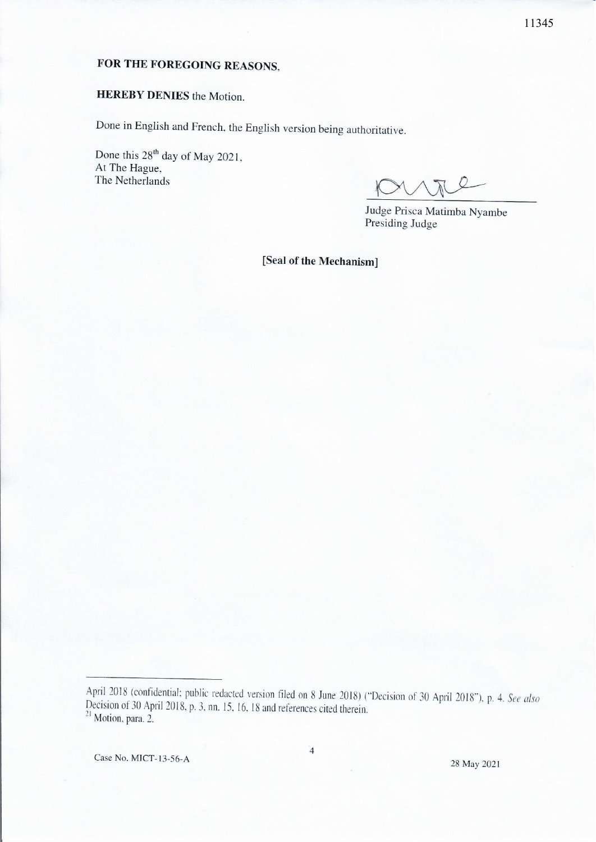## FOR THE FOREGOING REASONS.

## **HEREBY DENIES** the Motion.

Done in English and French, the English version being authoritative.

Done this 28<sup>th</sup> day of May 2021, At The Hague, The Netherlands

Judge Prisca Matimba Nyambe Presiding Judge

[Seal of the Mechanism]

Case No. MICT-13-56-A

April 2018 (confidential; public redacted version filed on 8 June 2018) ("Decision of 30 April 2018"), p. 4. See also Decision of 30 April 2018, p. 3, nn. 15, 16, 18 and references cited therein.<br><sup>21</sup> Motion, para. 2.